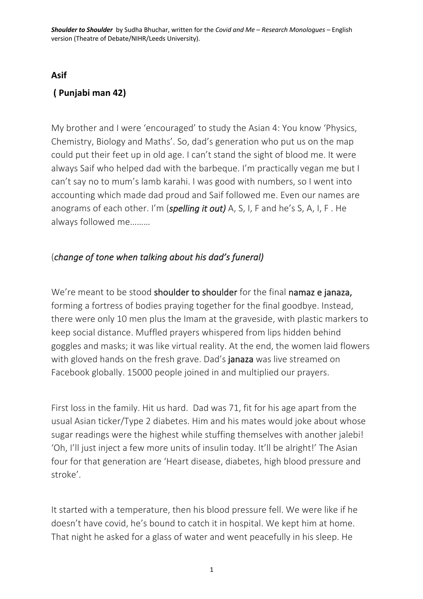## **Asif**

## **( Punjabi man 42)**

My brother and I were 'encouraged' to study the Asian 4: You know 'Physics, Chemistry, Biology and Maths'. So, dad's generation who put us on the map could put their feet up in old age. I can't stand the sight of blood me. It were always Saif who helped dad with the barbeque. I'm practically vegan me but I can't say no to mum's lamb karahi. I was good with numbers, so I went into accounting which made dad proud and Saif followed me. Even our names are anograms of each other. I'm (*spelling it out)* A, S, I, F and he's S, A, I, F . He always followed me………

## (*change of tone when talking about his dad's funeral)*

We're meant to be stood shoulder to shoulder for the final namaz e janaza, forming a fortress of bodies praying together for the final goodbye. Instead, there were only 10 men plus the Imam at the graveside, with plastic markers to keep social distance. Muffled prayers whispered from lips hidden behind goggles and masks; it was like virtual reality. At the end, the women laid flowers with gloved hands on the fresh grave. Dad's **janaza** was live streamed on Facebook globally. 15000 people joined in and multiplied our prayers.

First loss in the family. Hit us hard. Dad was 71, fit for his age apart from the usual Asian ticker/Type 2 diabetes. Him and his mates would joke about whose sugar readings were the highest while stuffing themselves with another jalebi! 'Oh, I'll just inject a few more units of insulin today. It'll be alright!' The Asian four for that generation are 'Heart disease, diabetes, high blood pressure and stroke'.

It started with a temperature, then his blood pressure fell. We were like if he doesn't have covid, he's bound to catch it in hospital. We kept him at home. That night he asked for a glass of water and went peacefully in his sleep. He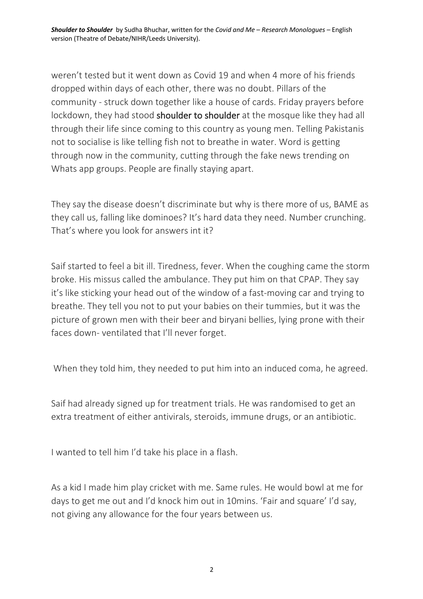*Shoulder to Shoulder* by Sudha Bhuchar, written for the *Covid and Me – Research Monologues* – English version (Theatre of Debate/NIHR/Leeds University).

weren't tested but it went down as Covid 19 and when 4 more of his friends dropped within days of each other, there was no doubt. Pillars of the community - struck down together like a house of cards. Friday prayers before lockdown, they had stood **shoulder to shoulder** at the mosque like they had all through their life since coming to this country as young men. Telling Pakistanis not to socialise is like telling fish not to breathe in water. Word is getting through now in the community, cutting through the fake news trending on Whats app groups. People are finally staying apart.

They say the disease doesn't discriminate but why is there more of us, BAME as they call us, falling like dominoes? It's hard data they need. Number crunching. That's where you look for answers int it?

Saif started to feel a bit ill. Tiredness, fever. When the coughing came the storm broke. His missus called the ambulance. They put him on that CPAP. They say it's like sticking your head out of the window of a fast-moving car and trying to breathe. They tell you not to put your babies on their tummies, but it was the picture of grown men with their beer and biryani bellies, lying prone with their faces down- ventilated that I'll never forget.

When they told him, they needed to put him into an induced coma, he agreed.

Saif had already signed up for treatment trials. He was randomised to get an extra treatment of either antivirals, steroids, immune drugs, or an antibiotic.

I wanted to tell him I'd take his place in a flash.

As a kid I made him play cricket with me. Same rules. He would bowl at me for days to get me out and I'd knock him out in 10mins. 'Fair and square' I'd say, not giving any allowance for the four years between us.